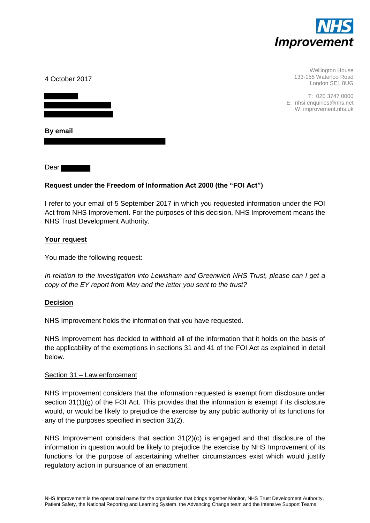

Wellington House 133-155 Waterloo Road London SE1 8UG

T: 020 3747 0000 E: nhsi.enquiries@nhs.net W: improvement.nhs.uk

4 October 2017

| By email |  |  |
|----------|--|--|
|          |  |  |

Dear **Dear** 

# **Request under the Freedom of Information Act 2000 (the "FOI Act")**

I refer to your email of 5 September 2017 in which you requested information under the FOI Act from NHS Improvement. For the purposes of this decision, NHS Improvement means the NHS Trust Development Authority.

## **Your request**

You made the following request:

*In relation to the investigation into Lewisham and Greenwich NHS Trust, please can I get a copy of the EY report from May and the letter you sent to the trust?*

## **Decision**

NHS Improvement holds the information that you have requested.

NHS Improvement has decided to withhold all of the information that it holds on the basis of the applicability of the exemptions in sections 31 and 41 of the FOI Act as explained in detail below.

## Section 31 – Law enforcement

NHS Improvement considers that the information requested is exempt from disclosure under section 31(1)(g) of the FOI Act. This provides that the information is exempt if its disclosure would, or would be likely to prejudice the exercise by any public authority of its functions for any of the purposes specified in section 31(2).

NHS Improvement considers that section 31(2)(c) is engaged and that disclosure of the information in question would be likely to prejudice the exercise by NHS Improvement of its functions for the purpose of ascertaining whether circumstances exist which would justify regulatory action in pursuance of an enactment.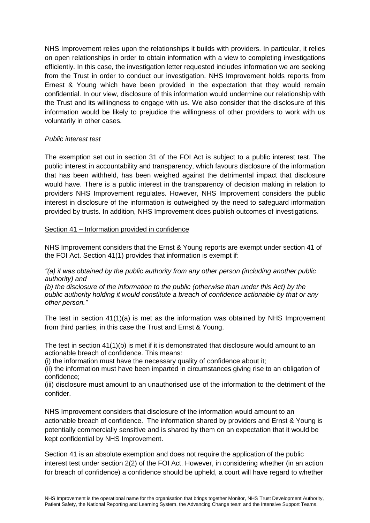NHS Improvement relies upon the relationships it builds with providers. In particular, it relies on open relationships in order to obtain information with a view to completing investigations efficiently. In this case, the investigation letter requested includes information we are seeking from the Trust in order to conduct our investigation. NHS Improvement holds reports from Ernest & Young which have been provided in the expectation that they would remain confidential. In our view, disclosure of this information would undermine our relationship with the Trust and its willingness to engage with us. We also consider that the disclosure of this information would be likely to prejudice the willingness of other providers to work with us voluntarily in other cases.

## *Public interest test*

The exemption set out in section 31 of the FOI Act is subject to a public interest test. The public interest in accountability and transparency, which favours disclosure of the information that has been withheld, has been weighed against the detrimental impact that disclosure would have. There is a public interest in the transparency of decision making in relation to providers NHS Improvement regulates. However, NHS Improvement considers the public interest in disclosure of the information is outweighed by the need to safeguard information provided by trusts. In addition, NHS Improvement does publish outcomes of investigations.

## Section 41 – Information provided in confidence

NHS Improvement considers that the Ernst & Young reports are exempt under section 41 of the FOI Act. Section 41(1) provides that information is exempt if:

## *"(a) it was obtained by the public authority from any other person (including another public authority) and*

*(b) the disclosure of the information to the public (otherwise than under this Act) by the public authority holding it would constitute a breach of confidence actionable by that or any other person."* 

The test in section  $41(1)(a)$  is met as the information was obtained by NHS Improvement from third parties, in this case the Trust and Ernst & Young.

The test in section 41(1)(b) is met if it is demonstrated that disclosure would amount to an actionable breach of confidence. This means:

(i) the information must have the necessary quality of confidence about it;

(ii) the information must have been imparted in circumstances giving rise to an obligation of confidence;

(iii) disclosure must amount to an unauthorised use of the information to the detriment of the confider.

NHS Improvement considers that disclosure of the information would amount to an actionable breach of confidence. The information shared by providers and Ernst & Young is potentially commercially sensitive and is shared by them on an expectation that it would be kept confidential by NHS Improvement.

Section 41 is an absolute exemption and does not require the application of the public interest test under section 2(2) of the FOI Act. However, in considering whether (in an action for breach of confidence) a confidence should be upheld, a court will have regard to whether